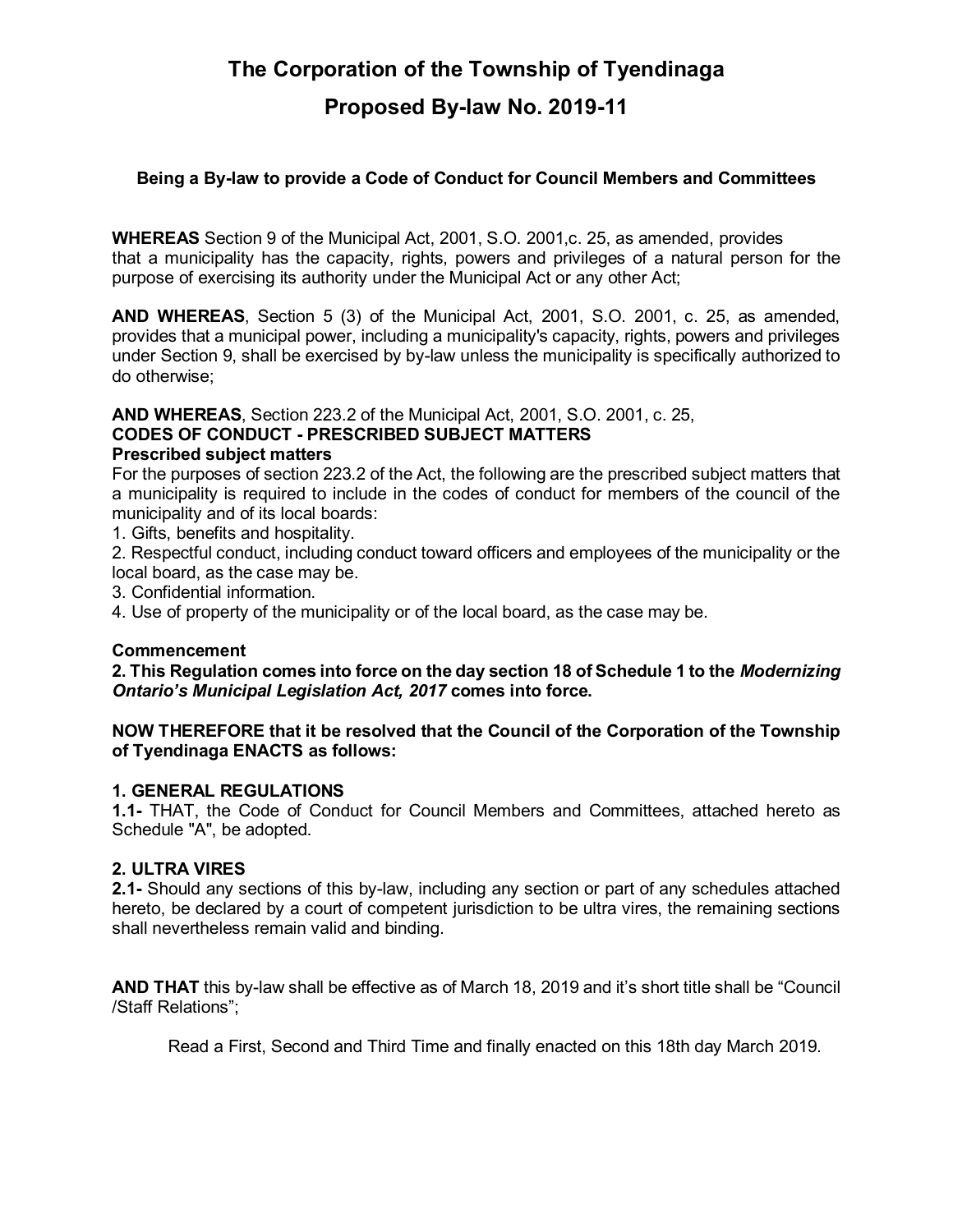# **The Corporation of the Township of Tyendinaga Proposed By-law No. 2019-11**

#### **Being a By-law to provide a Code of Conduct for Council Members and Committees**

**WHEREAS** Section 9 of the Municipal Act, 2001, S.O. 2001,c. 25, as amended, provides that a municipality has the capacity, rights, powers and privileges of a natural person for the purpose of exercising its authority under the Municipal Act or any other Act;

**AND WHEREAS**, Section 5 (3) of the Municipal Act, 2001, S.O. 2001, c. 25, as amended, provides that a municipal power, including a municipality's capacity, rights, powers and privileges under Section 9, shall be exercised by by-law unless the municipality is specifically authorized to do otherwise;

**AND WHEREAS**, Section 223.2 of the Municipal Act, 2001, S.O. 2001, c. 25,

#### **CODES OF CONDUCT - PRESCRIBED SUBJECT MATTERS Prescribed subject matters**

For the purposes of section 223.2 of the Act, the following are the prescribed subject matters that a municipality is required to include in the codes of conduct for members of the council of the municipality and of its local boards:

1. Gifts, benefits and hospitality.

2. Respectful conduct, including conduct toward officers and employees of the municipality or the local board, as the case may be.

3. Confidential information.

4. Use of property of the municipality or of the local board, as the case may be.

#### **Commencement**

**2. This Regulation comes into force on the day section 18 of Schedule 1 to the** *Modernizing Ontario's Municipal Legislation Act, 2017* **comes into force.**

#### **NOW THEREFORE that it be resolved that the Council of the Corporation of the Township of Tyendinaga ENACTS as follows:**

#### **1. GENERAL REGULATIONS**

**1.1-** THAT, the Code of Conduct for Council Members and Committees, attached hereto as Schedule "A", be adopted.

#### **2. ULTRA VIRES**

**2.1-** Should any sections of this by-law, including any section or part of any schedules attached hereto, be declared by a court of competent jurisdiction to be ultra vires, the remaining sections shall nevertheless remain valid and binding.

**AND THAT** this by-law shall be effective as of March 18, 2019 and it's short title shall be "Council /Staff Relations";

Read a First, Second and Third Time and finally enacted on this 18th day March 2019.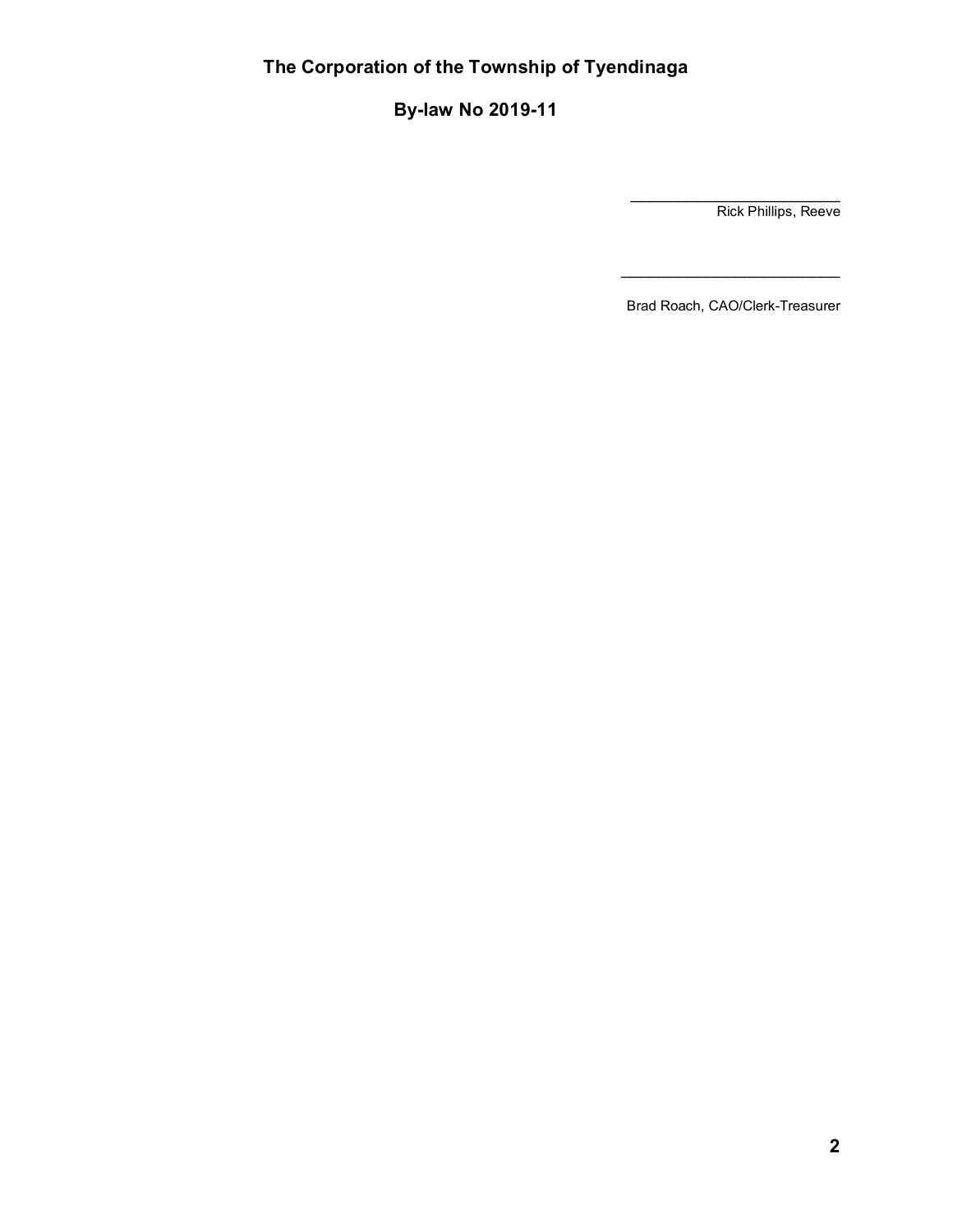**By-law No 2019-11**

\_\_\_\_\_\_\_\_\_\_\_\_\_\_\_\_\_\_\_\_\_\_ Rick Phillips, Reeve

Brad Roach, CAO/Clerk-Treasurer

\_\_\_\_\_\_\_\_\_\_\_\_\_\_\_\_\_\_\_\_\_\_\_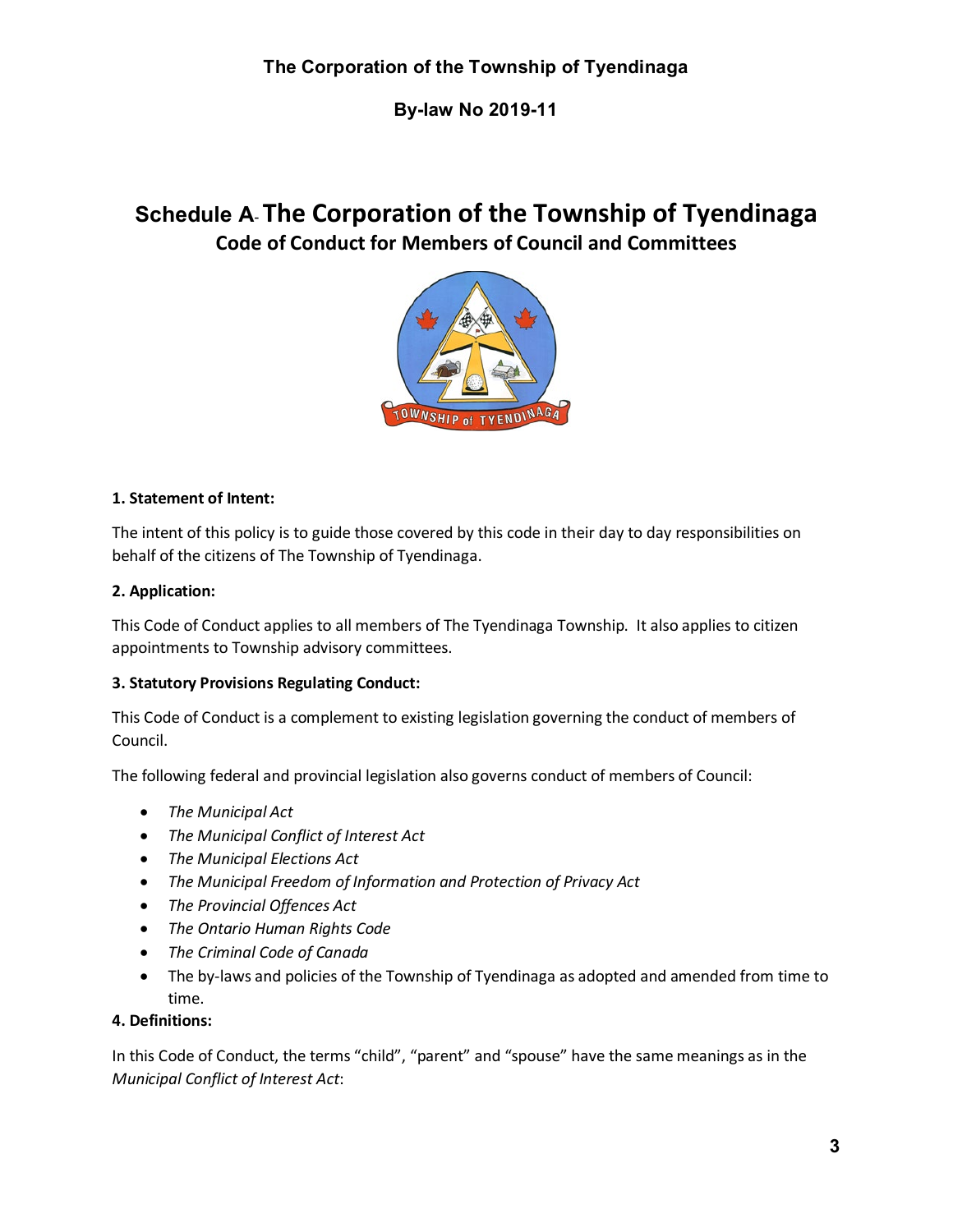**By-law No 2019-11**

# **Schedule A**- **The Corporation of the Township of Tyendinaga Code of Conduct for Members of Council and Committees**



#### **1. Statement of Intent:**

The intent of this policy is to guide those covered by this code in their day to day responsibilities on behalf of the citizens of The Township of Tyendinaga.

#### **2. Application:**

This Code of Conduct applies to all members of The Tyendinaga Township. It also applies to citizen appointments to Township advisory committees.

#### **3. Statutory Provisions Regulating Conduct:**

This Code of Conduct is a complement to existing legislation governing the conduct of members of Council.

The following federal and provincial legislation also governs conduct of members of Council:

- *The Municipal Act*
- *The Municipal Conflict of Interest Act*
- *The Municipal Elections Act*
- *The Municipal Freedom of Information and Protection of Privacy Act*
- *The Provincial Offences Act*
- *The Ontario Human Rights Code*
- *The Criminal Code of Canada*
- The by-laws and policies of the Township of Tyendinaga as adopted and amended from time to time.

#### **4. Definitions:**

In this Code of Conduct, the terms "child", "parent" and "spouse" have the same meanings as in the *Municipal Conflict of Interest Act*: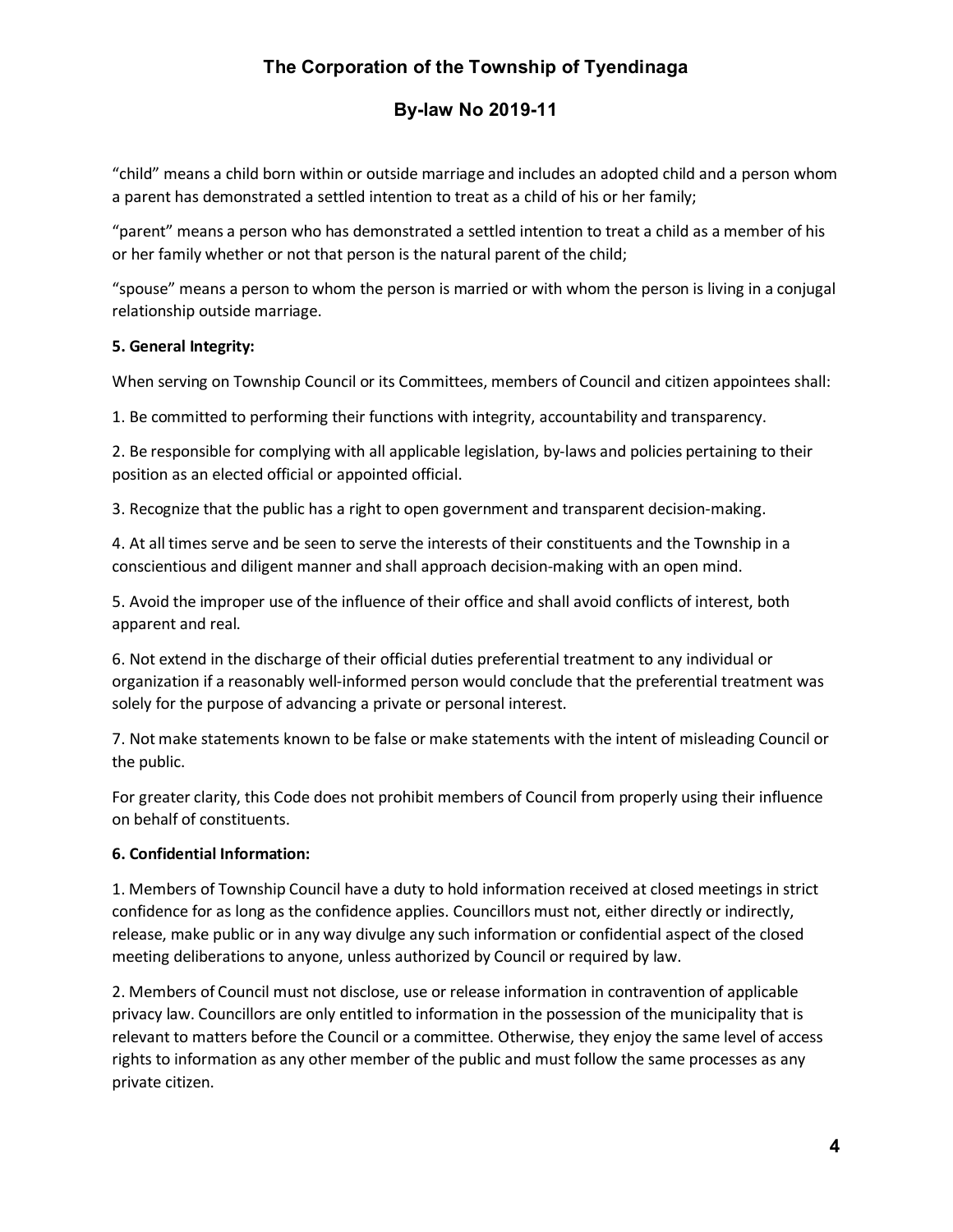### **By-law No 2019-11**

"child" means a child born within or outside marriage and includes an adopted child and a person whom a parent has demonstrated a settled intention to treat as a child of his or her family;

"parent" means a person who has demonstrated a settled intention to treat a child as a member of his or her family whether or not that person is the natural parent of the child;

"spouse" means a person to whom the person is married or with whom the person is living in a conjugal relationship outside marriage.

#### **5. General Integrity:**

When serving on Township Council or its Committees, members of Council and citizen appointees shall:

1. Be committed to performing their functions with integrity, accountability and transparency.

2. Be responsible for complying with all applicable legislation, by-laws and policies pertaining to their position as an elected official or appointed official.

3. Recognize that the public has a right to open government and transparent decision-making.

4. At all times serve and be seen to serve the interests of their constituents and the Township in a conscientious and diligent manner and shall approach decision-making with an open mind.

5. Avoid the improper use of the influence of their office and shall avoid conflicts of interest, both apparent and real.

6. Not extend in the discharge of their official duties preferential treatment to any individual or organization if a reasonably well-informed person would conclude that the preferential treatment was solely for the purpose of advancing a private or personal interest.

7. Not make statements known to be false or make statements with the intent of misleading Council or the public.

For greater clarity, this Code does not prohibit members of Council from properly using their influence on behalf of constituents.

#### **6. Confidential Information:**

1. Members of Township Council have a duty to hold information received at closed meetings in strict confidence for as long as the confidence applies. Councillors must not, either directly or indirectly, release, make public or in any way divulge any such information or confidential aspect of the closed meeting deliberations to anyone, unless authorized by Council or required by law.

2. Members of Council must not disclose, use or release information in contravention of applicable privacy law. Councillors are only entitled to information in the possession of the municipality that is relevant to matters before the Council or a committee. Otherwise, they enjoy the same level of access rights to information as any other member of the public and must follow the same processes as any private citizen.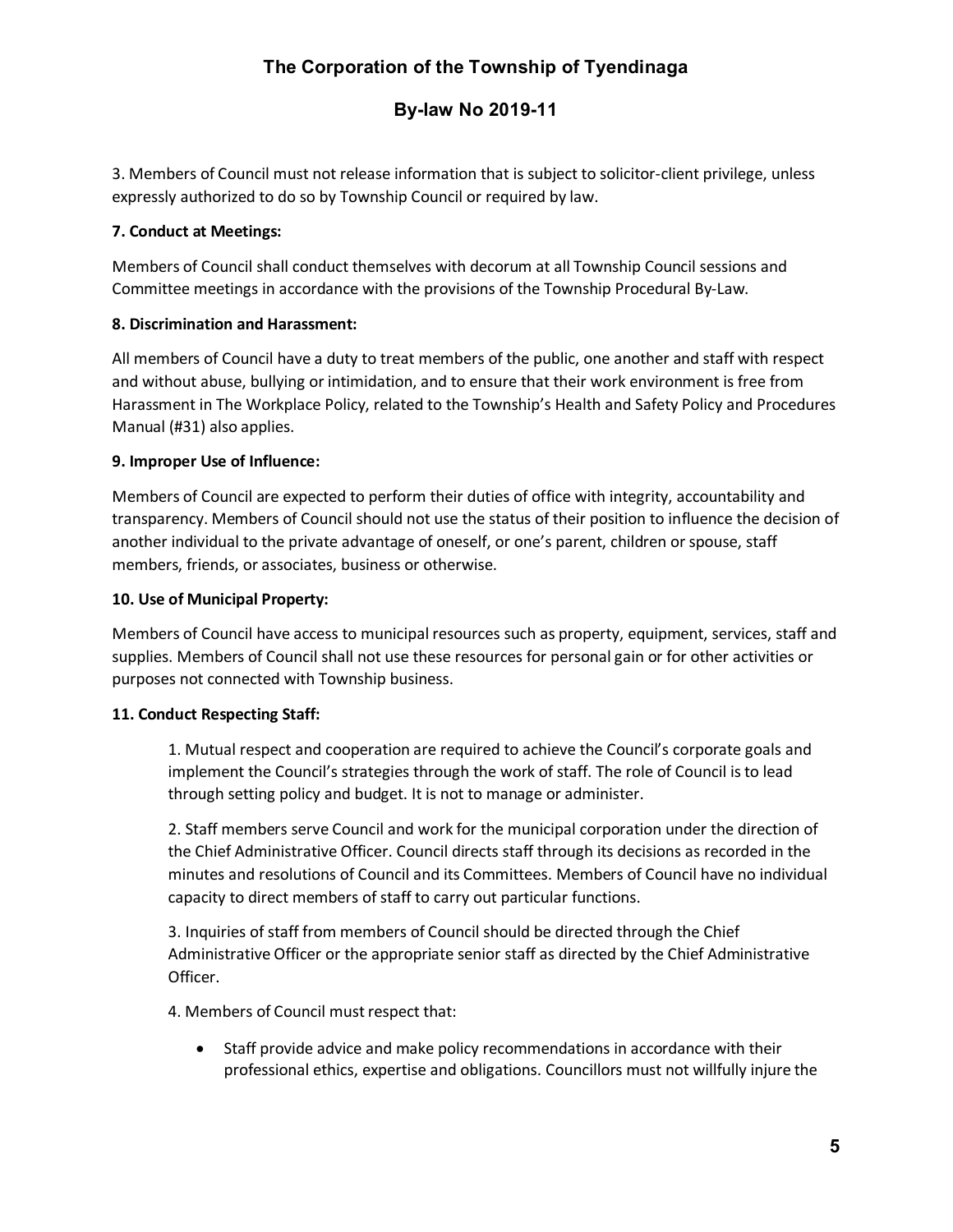### **By-law No 2019-11**

3. Members of Council must not release information that is subject to solicitor-client privilege, unless expressly authorized to do so by Township Council or required by law.

#### **7. Conduct at Meetings:**

Members of Council shall conduct themselves with decorum at all Township Council sessions and Committee meetings in accordance with the provisions of the Township Procedural By-Law.

#### **8. Discrimination and Harassment:**

All members of Council have a duty to treat members of the public, one another and staff with respect and without abuse, bullying or intimidation, and to ensure that their work environment is free from Harassment in The Workplace Policy, related to the Township's Health and Safety Policy and Procedures Manual (#31) also applies.

#### **9. Improper Use of Influence:**

Members of Council are expected to perform their duties of office with integrity, accountability and transparency. Members of Council should not use the status of their position to influence the decision of another individual to the private advantage of oneself, or one's parent, children or spouse, staff members, friends, or associates, business or otherwise.

#### **10. Use of Municipal Property:**

Members of Council have access to municipal resources such as property, equipment, services, staff and supplies. Members of Council shall not use these resources for personal gain or for other activities or purposes not connected with Township business.

#### **11. Conduct Respecting Staff:**

1. Mutual respect and cooperation are required to achieve the Council's corporate goals and implement the Council's strategies through the work of staff. The role of Council is to lead through setting policy and budget. It is not to manage or administer.

2. Staff members serve Council and work for the municipal corporation under the direction of the Chief Administrative Officer. Council directs staff through its decisions as recorded in the minutes and resolutions of Council and its Committees. Members of Council have no individual capacity to direct members of staff to carry out particular functions.

3. Inquiries of staff from members of Council should be directed through the Chief Administrative Officer or the appropriate senior staff as directed by the Chief Administrative Officer.

4. Members of Council must respect that:

• Staff provide advice and make policy recommendations in accordance with their professional ethics, expertise and obligations. Councillors must not willfully injure the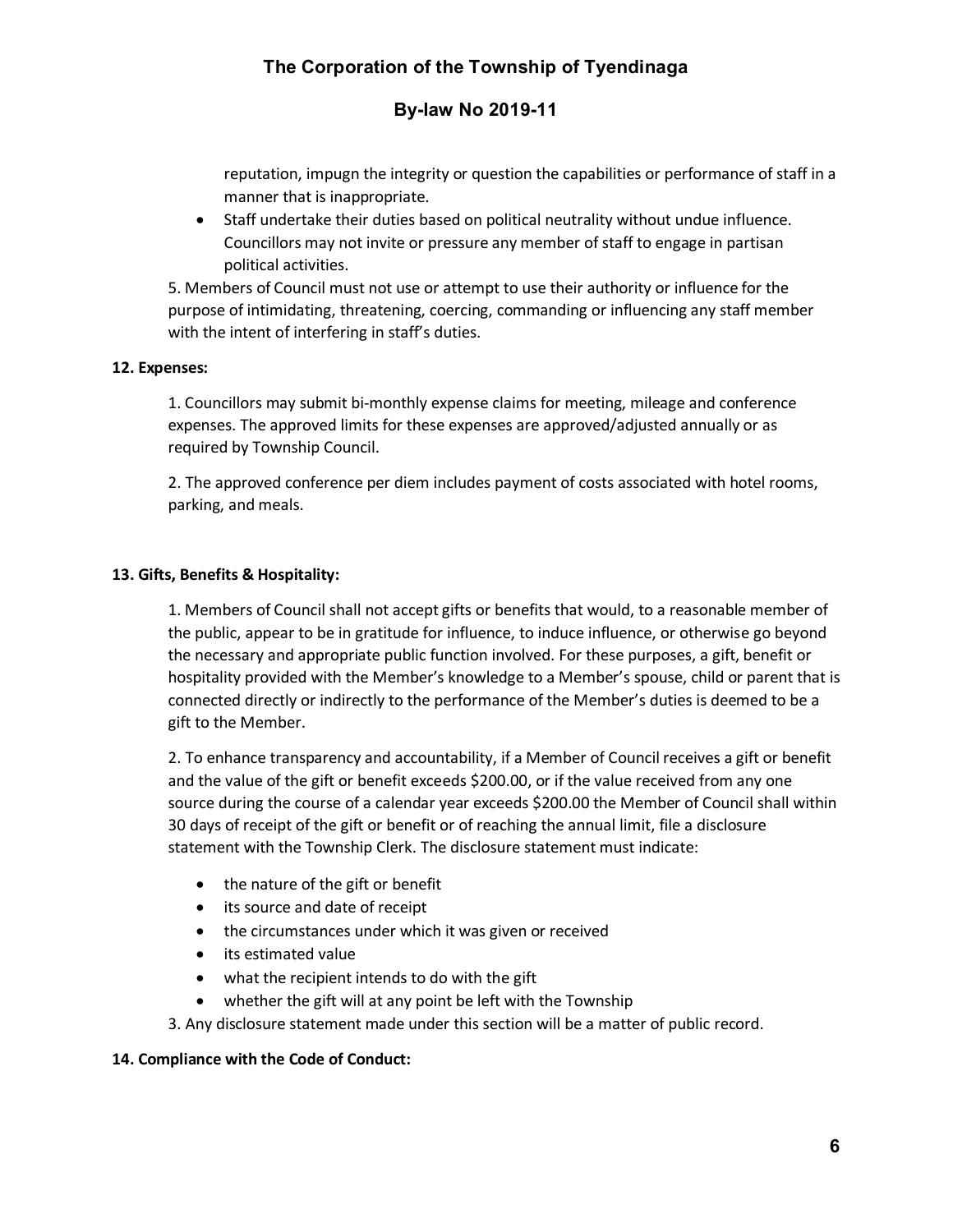### **By-law No 2019-11**

reputation, impugn the integrity or question the capabilities or performance of staff in a manner that is inappropriate.

• Staff undertake their duties based on political neutrality without undue influence. Councillors may not invite or pressure any member of staff to engage in partisan political activities.

5. Members of Council must not use or attempt to use their authority or influence for the purpose of intimidating, threatening, coercing, commanding or influencing any staff member with the intent of interfering in staff's duties.

#### **12. Expenses:**

1. Councillors may submit bi-monthly expense claims for meeting, mileage and conference expenses. The approved limits for these expenses are approved/adjusted annually or as required by Township Council.

2. The approved conference per diem includes payment of costs associated with hotel rooms, parking, and meals.

#### **13. Gifts, Benefits & Hospitality:**

1. Members of Council shall not accept gifts or benefits that would, to a reasonable member of the public, appear to be in gratitude for influence, to induce influence, or otherwise go beyond the necessary and appropriate public function involved. For these purposes, a gift, benefit or hospitality provided with the Member's knowledge to a Member's spouse, child or parent that is connected directly or indirectly to the performance of the Member's duties is deemed to be a gift to the Member.

2. To enhance transparency and accountability, if a Member of Council receives a gift or benefit and the value of the gift or benefit exceeds \$200.00, or if the value received from any one source during the course of a calendar year exceeds \$200.00 the Member of Council shall within 30 days of receipt of the gift or benefit or of reaching the annual limit, file a disclosure statement with the Township Clerk. The disclosure statement must indicate:

- the nature of the gift or benefit
- its source and date of receipt
- the circumstances under which it was given or received
- its estimated value
- what the recipient intends to do with the gift
- whether the gift will at any point be left with the Township
- 3. Any disclosure statement made under this section will be a matter of public record.

#### **14. Compliance with the Code of Conduct:**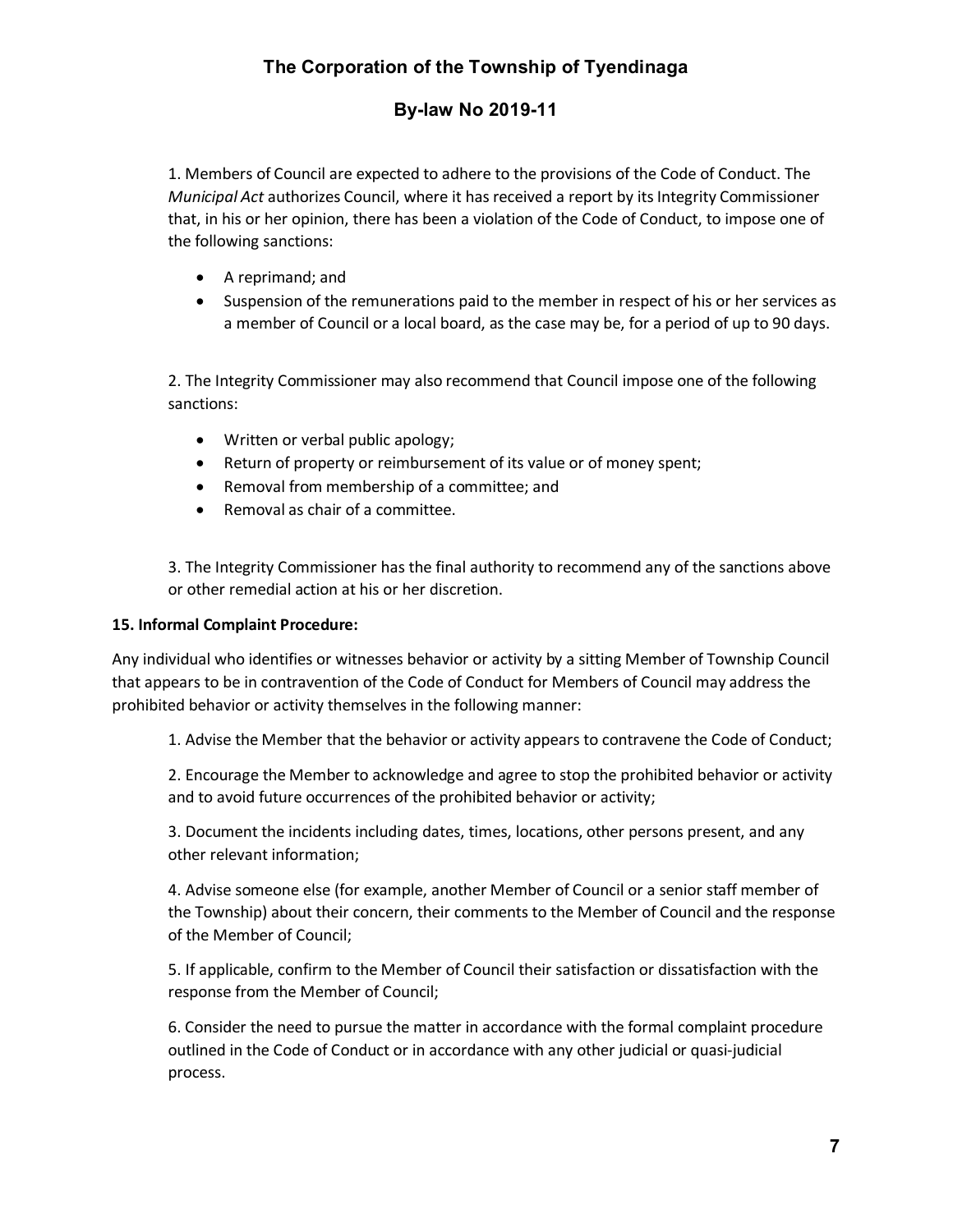### **By-law No 2019-11**

1. Members of Council are expected to adhere to the provisions of the Code of Conduct. The *Municipal Act* authorizes Council, where it has received a report by its Integrity Commissioner that, in his or her opinion, there has been a violation of the Code of Conduct, to impose one of the following sanctions:

- A reprimand; and
- Suspension of the remunerations paid to the member in respect of his or her services as a member of Council or a local board, as the case may be, for a period of up to 90 days.

2. The Integrity Commissioner may also recommend that Council impose one of the following sanctions:

- Written or verbal public apology;
- Return of property or reimbursement of its value or of money spent;
- Removal from membership of a committee; and
- Removal as chair of a committee.

3. The Integrity Commissioner has the final authority to recommend any of the sanctions above or other remedial action at his or her discretion.

#### **15. Informal Complaint Procedure:**

Any individual who identifies or witnesses behavior or activity by a sitting Member of Township Council that appears to be in contravention of the Code of Conduct for Members of Council may address the prohibited behavior or activity themselves in the following manner:

1. Advise the Member that the behavior or activity appears to contravene the Code of Conduct;

2. Encourage the Member to acknowledge and agree to stop the prohibited behavior or activity and to avoid future occurrences of the prohibited behavior or activity;

3. Document the incidents including dates, times, locations, other persons present, and any other relevant information;

4. Advise someone else (for example, another Member of Council or a senior staff member of the Township) about their concern, their comments to the Member of Council and the response of the Member of Council;

5. If applicable, confirm to the Member of Council their satisfaction or dissatisfaction with the response from the Member of Council;

6. Consider the need to pursue the matter in accordance with the formal complaint procedure outlined in the Code of Conduct or in accordance with any other judicial or quasi-judicial process.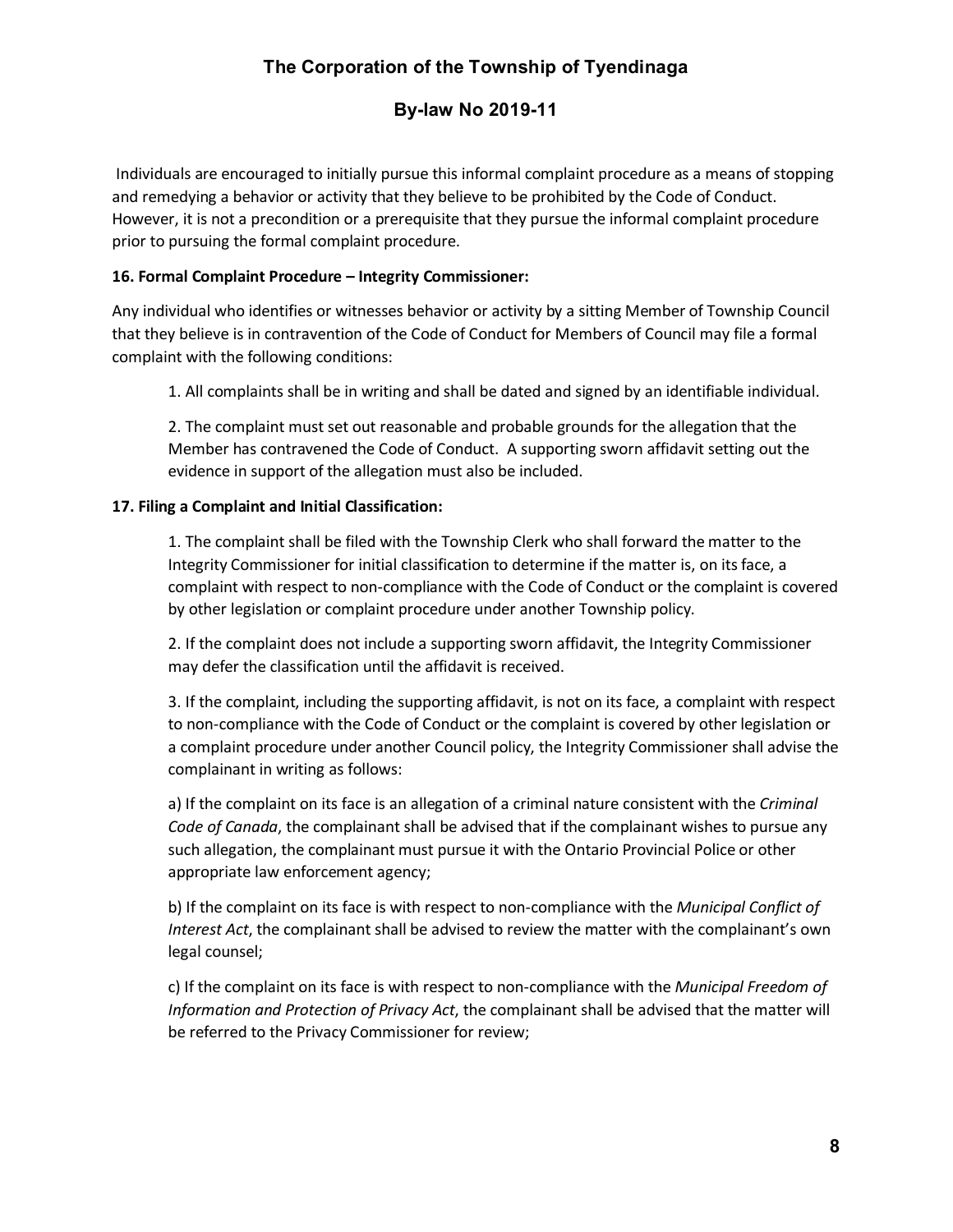### **By-law No 2019-11**

Individuals are encouraged to initially pursue this informal complaint procedure as a means of stopping and remedying a behavior or activity that they believe to be prohibited by the Code of Conduct. However, it is not a precondition or a prerequisite that they pursue the informal complaint procedure prior to pursuing the formal complaint procedure.

#### **16. Formal Complaint Procedure – Integrity Commissioner:**

Any individual who identifies or witnesses behavior or activity by a sitting Member of Township Council that they believe is in contravention of the Code of Conduct for Members of Council may file a formal complaint with the following conditions:

1. All complaints shall be in writing and shall be dated and signed by an identifiable individual.

2. The complaint must set out reasonable and probable grounds for the allegation that the Member has contravened the Code of Conduct. A supporting sworn affidavit setting out the evidence in support of the allegation must also be included.

#### **17. Filing a Complaint and Initial Classification:**

1. The complaint shall be filed with the Township Clerk who shall forward the matter to the Integrity Commissioner for initial classification to determine if the matter is, on its face, a complaint with respect to non-compliance with the Code of Conduct or the complaint is covered by other legislation or complaint procedure under another Township policy.

2. If the complaint does not include a supporting sworn affidavit, the Integrity Commissioner may defer the classification until the affidavit is received.

3. If the complaint, including the supporting affidavit, is not on its face, a complaint with respect to non-compliance with the Code of Conduct or the complaint is covered by other legislation or a complaint procedure under another Council policy, the Integrity Commissioner shall advise the complainant in writing as follows:

a) If the complaint on its face is an allegation of a criminal nature consistent with the *Criminal Code of Canada*, the complainant shall be advised that if the complainant wishes to pursue any such allegation, the complainant must pursue it with the Ontario Provincial Police or other appropriate law enforcement agency;

b) If the complaint on its face is with respect to non-compliance with the *Municipal Conflict of Interest Act*, the complainant shall be advised to review the matter with the complainant's own legal counsel;

c) If the complaint on its face is with respect to non-compliance with the *Municipal Freedom of Information and Protection of Privacy Act*, the complainant shall be advised that the matter will be referred to the Privacy Commissioner for review;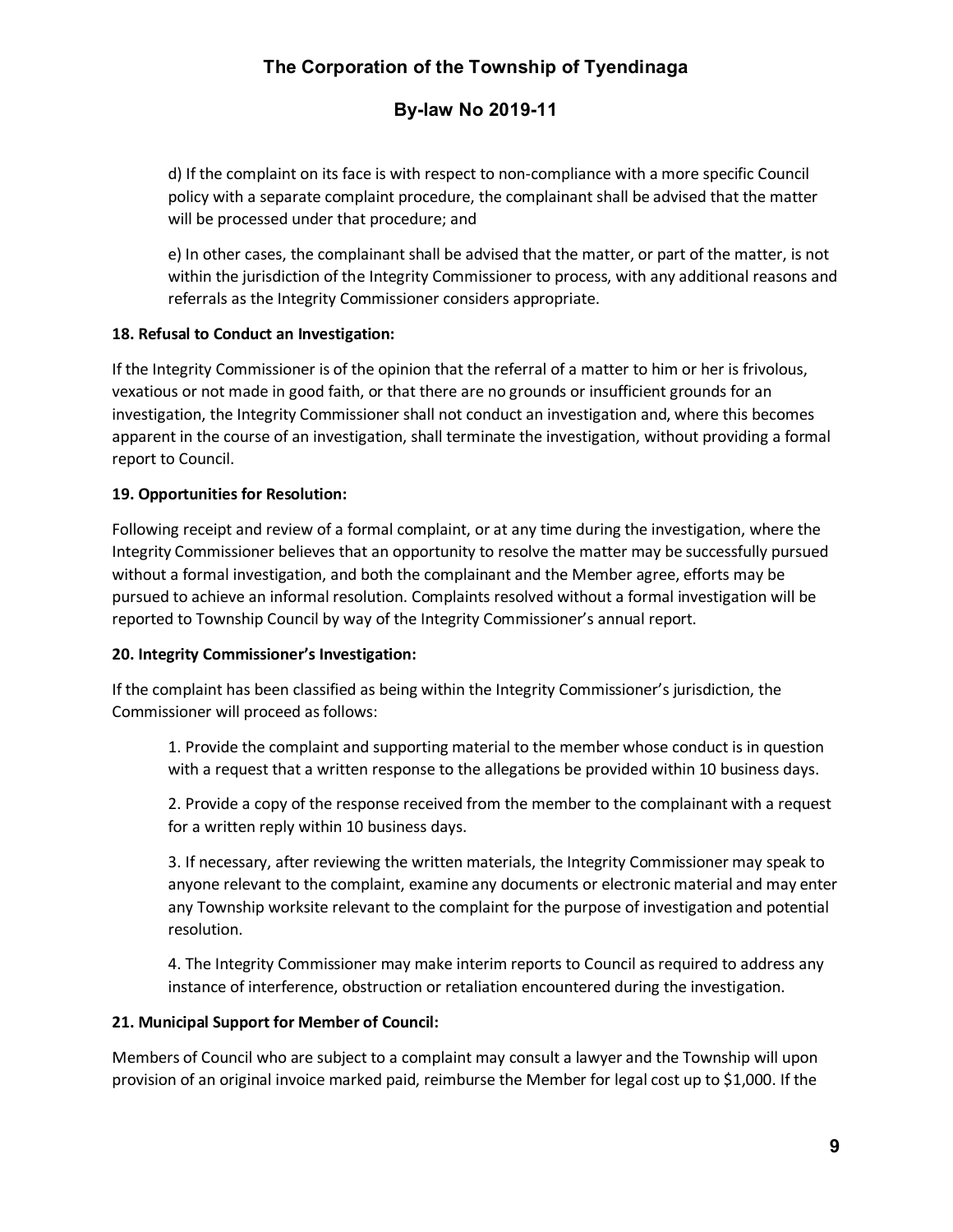### **By-law No 2019-11**

d) If the complaint on its face is with respect to non-compliance with a more specific Council policy with a separate complaint procedure, the complainant shall be advised that the matter will be processed under that procedure; and

e) In other cases, the complainant shall be advised that the matter, or part of the matter, is not within the jurisdiction of the Integrity Commissioner to process, with any additional reasons and referrals as the Integrity Commissioner considers appropriate.

#### **18. Refusal to Conduct an Investigation:**

If the Integrity Commissioner is of the opinion that the referral of a matter to him or her is frivolous, vexatious or not made in good faith, or that there are no grounds or insufficient grounds for an investigation, the Integrity Commissioner shall not conduct an investigation and, where this becomes apparent in the course of an investigation, shall terminate the investigation, without providing a formal report to Council.

#### **19. Opportunities for Resolution:**

Following receipt and review of a formal complaint, or at any time during the investigation, where the Integrity Commissioner believes that an opportunity to resolve the matter may be successfully pursued without a formal investigation, and both the complainant and the Member agree, efforts may be pursued to achieve an informal resolution. Complaints resolved without a formal investigation will be reported to Township Council by way of the Integrity Commissioner's annual report.

#### **20. Integrity Commissioner's Investigation:**

If the complaint has been classified as being within the Integrity Commissioner's jurisdiction, the Commissioner will proceed as follows:

1. Provide the complaint and supporting material to the member whose conduct is in question with a request that a written response to the allegations be provided within 10 business days.

2. Provide a copy of the response received from the member to the complainant with a request for a written reply within 10 business days.

3. If necessary, after reviewing the written materials, the Integrity Commissioner may speak to anyone relevant to the complaint, examine any documents or electronic material and may enter any Township worksite relevant to the complaint for the purpose of investigation and potential resolution.

4. The Integrity Commissioner may make interim reports to Council as required to address any instance of interference, obstruction or retaliation encountered during the investigation.

#### **21. Municipal Support for Member of Council:**

Members of Council who are subject to a complaint may consult a lawyer and the Township will upon provision of an original invoice marked paid, reimburse the Member for legal cost up to \$1,000. If the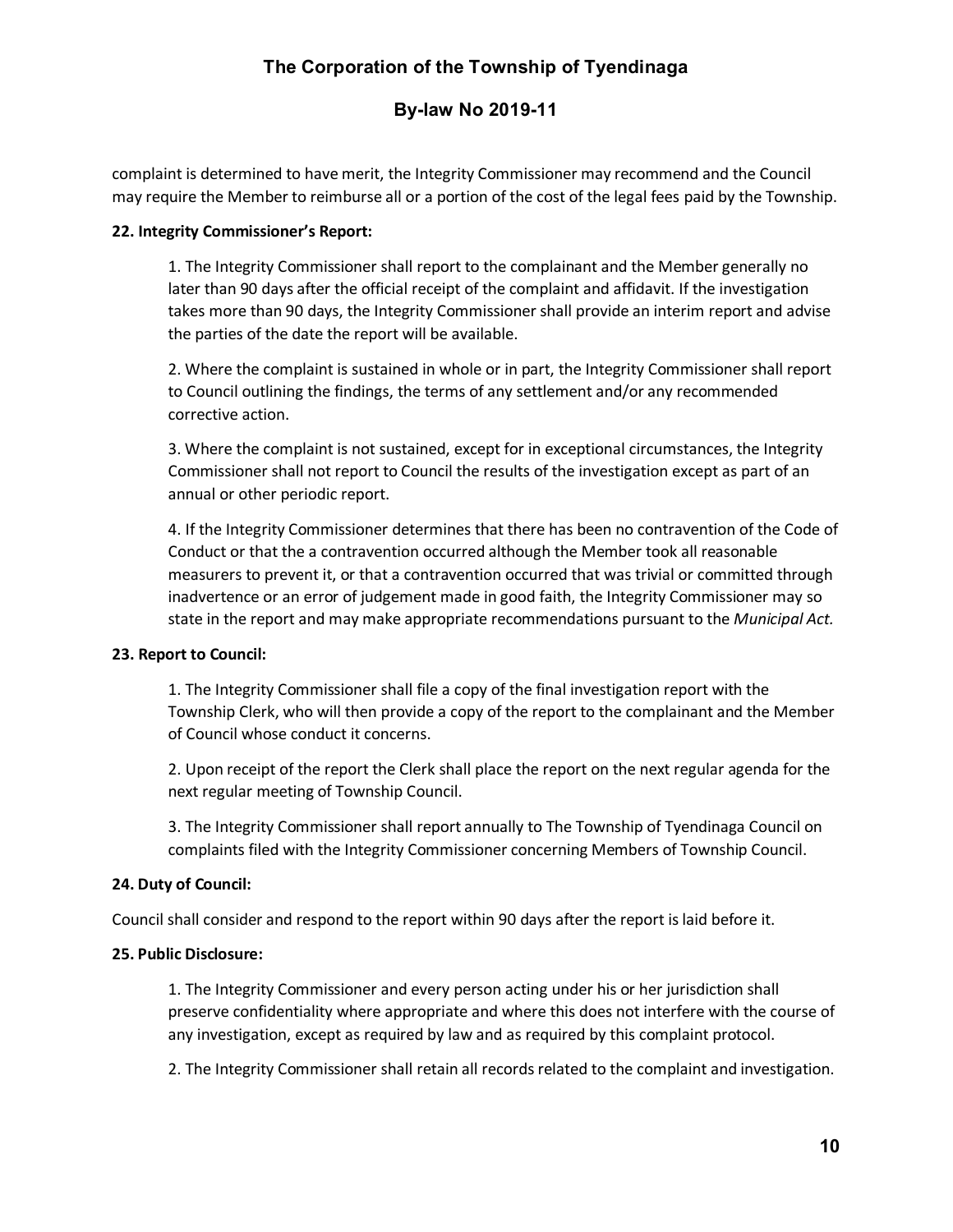### **By-law No 2019-11**

complaint is determined to have merit, the Integrity Commissioner may recommend and the Council may require the Member to reimburse all or a portion of the cost of the legal fees paid by the Township.

#### **22. Integrity Commissioner's Report:**

1. The Integrity Commissioner shall report to the complainant and the Member generally no later than 90 days after the official receipt of the complaint and affidavit. If the investigation takes more than 90 days, the Integrity Commissioner shall provide an interim report and advise the parties of the date the report will be available.

2. Where the complaint is sustained in whole or in part, the Integrity Commissioner shall report to Council outlining the findings, the terms of any settlement and/or any recommended corrective action.

3. Where the complaint is not sustained, except for in exceptional circumstances, the Integrity Commissioner shall not report to Council the results of the investigation except as part of an annual or other periodic report.

4. If the Integrity Commissioner determines that there has been no contravention of the Code of Conduct or that the a contravention occurred although the Member took all reasonable measurers to prevent it, or that a contravention occurred that was trivial or committed through inadvertence or an error of judgement made in good faith, the Integrity Commissioner may so state in the report and may make appropriate recommendations pursuant to the *Municipal Act.* 

#### **23. Report to Council:**

1. The Integrity Commissioner shall file a copy of the final investigation report with the Township Clerk, who will then provide a copy of the report to the complainant and the Member of Council whose conduct it concerns.

2. Upon receipt of the report the Clerk shall place the report on the next regular agenda for the next regular meeting of Township Council.

3. The Integrity Commissioner shall report annually to The Township of Tyendinaga Council on complaints filed with the Integrity Commissioner concerning Members of Township Council.

#### **24. Duty of Council:**

Council shall consider and respond to the report within 90 days after the report is laid before it.

#### **25. Public Disclosure:**

1. The Integrity Commissioner and every person acting under his or her jurisdiction shall preserve confidentiality where appropriate and where this does not interfere with the course of any investigation, except as required by law and as required by this complaint protocol.

2. The Integrity Commissioner shall retain all records related to the complaint and investigation.